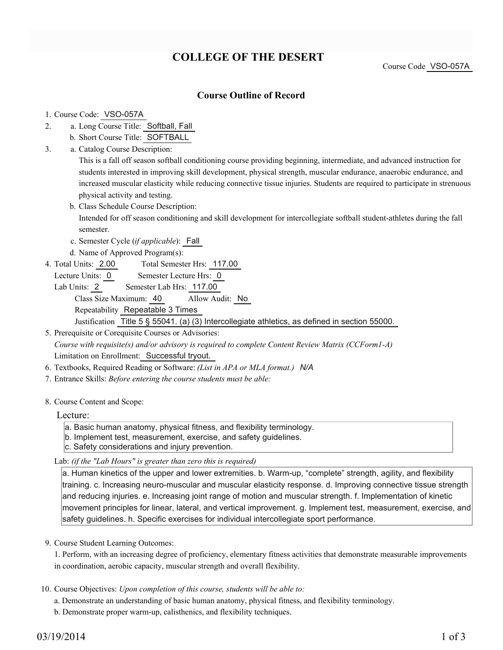# **COLLEGE OF THE DESERT**

Course Code VSO-057A

### **Course Outline of Record**

#### 1. Course Code: VSO-057A

- a. Long Course Title: Softball, Fall 2.
	- b. Short Course Title: SOFTBALL
- Catalog Course Description: a. 3.

This is a fall off season softball conditioning course providing beginning, intermediate, and advanced instruction for students interested in improving skill development, physical strength, muscular endurance, anaerobic endurance, and increased muscular elasticity while reducing connective tissue injuries. Students are required to participate in strenuous physical activity and testing.

b. Class Schedule Course Description:

Intended for off season conditioning and skill development for intercollegiate softball student-athletes during the fall semester.

- c. Semester Cycle (*if applicable*): Fall
- d. Name of Approved Program(s):
- Total Semester Hrs: 117.00 4. Total Units: 2.00
	- Lecture Units: 0 Semester Lecture Hrs: 0
	- Lab Units: 2 Semester Lab Hrs: 117.00 Class Size Maximum: 40 Allow Audit: No Repeatability Repeatable 3 Times Justification Title 5 § 55041. (a) (3) Intercollegiate athletics, as defined in section 55000.

5. Prerequisite or Corequisite Courses or Advisories: *Course with requisite(s) and/or advisory is required to complete Content Review Matrix (CCForm1-A)* Limitation on Enrollment: Successful tryout.

- 6. Textbooks, Required Reading or Software: *(List in APA or MLA format.) N/A*
- 7. Entrance Skills: *Before entering the course students must be able:*
- 8. Course Content and Scope:

#### Lecture:

- a. Basic human anatomy, physical fitness, and flexibility terminology.
- b. Implement test, measurement, exercise, and safety guidelines.
- c. Safety considerations and injury prevention.

Lab: *(if the "Lab Hours" is greater than zero this is required)*

a. Human kinetics of the upper and lower extremities. b. Warm-up, "complete" strength, agility, and flexibility training. c. Increasing neuro-muscular and muscular elasticity response. d. Improving connective tissue strength and reducing injuries. e. Increasing joint range of motion and muscular strength. f. Implementation of kinetic movement principles for linear, lateral, and vertical improvement. g. Implement test, measurement, exercise, and safety guidelines. h. Specific exercises for individual intercollegiate sport performance.

9. Course Student Learning Outcomes:

1. Perform, with an increasing degree of proficiency, elementary fitness activities that demonstrate measurable improvements in coordination, aerobic capacity, muscular strength and overall flexibility.

10. Course Objectives: Upon completion of this course, students will be able to:

a. Demonstrate an understanding of basic human anatomy, physical fitness, and flexibility terminology.

b. Demonstrate proper warm-up, calisthenics, and flexibility techniques.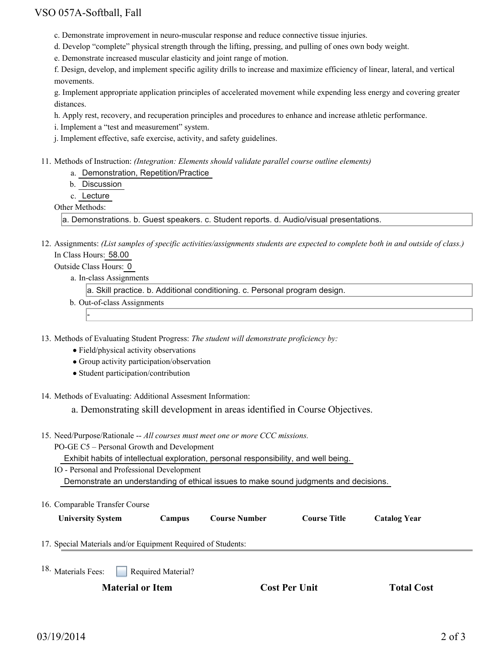# VSO 057A-Softball, Fall

- c. Demonstrate improvement in neuro-muscular response and reduce connective tissue injuries.
- d. Develop "complete" physical strength through the lifting, pressing, and pulling of ones own body weight.
- e. Demonstrate increased muscular elasticity and joint range of motion.

f. Design, develop, and implement specific agility drills to increase and maximize efficiency of linear, lateral, and vertical movements.

g. Implement appropriate application principles of accelerated movement while expending less energy and covering greater distances.

h. Apply rest, recovery, and recuperation principles and procedures to enhance and increase athletic performance.

i. Implement a "test and measurement" system.

j. Implement effective, safe exercise, activity, and safety guidelines.

Methods of Instruction: *(Integration: Elements should validate parallel course outline elements)* 11.

a. Demonstration, Repetition/Practice

b. Discussion

c. Lecture

Other Methods:

a. Demonstrations. b. Guest speakers. c. Student reports. d. Audio/visual presentations.

12. Assignments: (List samples of specific activities/assignments students are expected to complete both in and outside of class.) In Class Hours: 58.00

Outside Class Hours: 0

-

a. In-class Assignments

a. Skill practice. b. Additional conditioning. c. Personal program design.

b. Out-of-class Assignments

13. Methods of Evaluating Student Progress: The student will demonstrate proficiency by:

- Field/physical activity observations
- Group activity participation/observation
- Student participation/contribution

14. Methods of Evaluating: Additional Assesment Information:

a. Demonstrating skill development in areas identified in Course Objectives.

15. Need/Purpose/Rationale -- All courses must meet one or more CCC missions.

PO-GE C5 – Personal Growth and Development

Exhibit habits of intellectual exploration, personal responsibility, and well being.

IO - Personal and Professional Development

Demonstrate an understanding of ethical issues to make sound judgments and decisions.

|  | 16. Comparable Transfer Course |  |  |
|--|--------------------------------|--|--|
|--|--------------------------------|--|--|

**University System Campus Course Number Course Title Catalog Year**

17. Special Materials and/or Equipment Required of Students:

Required Material? <sup>18.</sup> Materials Fees:

**Material or Item Cost Per Unit Total Cost**